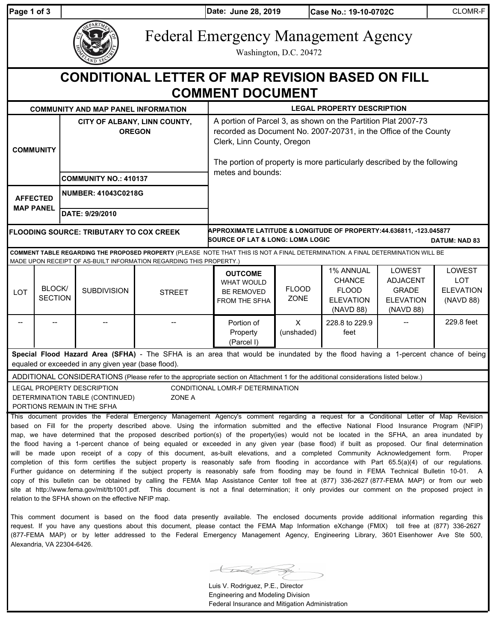**Page 1 of 3 June 28, 2019**

**Date: Case No.: 19-10-0702C** CLOMR-F

|  | EPARTMEN<br><b>ZAND SE</b> |
|--|----------------------------|
|--|----------------------------|

Federal Emergency Management Agency

Washington, D.C. 20472

| <b>CONDITIONAL LETTER OF MAP REVISION BASED ON FILL</b><br><b>COMMENT DOCUMENT</b>                                                                                                    |                          |                                               |                                                                                                     |                                                                                                                                                                                                                                                                                                                                                                                                                                                                                                                                                                                                                                                                                                                                                                                                                                                                                                                                                                                                                                                                                                                                                                                                                                                                                                                 |                                                                                                                                                                                                                                            |                      |                                                                             |                                                                            |                                                              |
|---------------------------------------------------------------------------------------------------------------------------------------------------------------------------------------|--------------------------|-----------------------------------------------|-----------------------------------------------------------------------------------------------------|-----------------------------------------------------------------------------------------------------------------------------------------------------------------------------------------------------------------------------------------------------------------------------------------------------------------------------------------------------------------------------------------------------------------------------------------------------------------------------------------------------------------------------------------------------------------------------------------------------------------------------------------------------------------------------------------------------------------------------------------------------------------------------------------------------------------------------------------------------------------------------------------------------------------------------------------------------------------------------------------------------------------------------------------------------------------------------------------------------------------------------------------------------------------------------------------------------------------------------------------------------------------------------------------------------------------|--------------------------------------------------------------------------------------------------------------------------------------------------------------------------------------------------------------------------------------------|----------------------|-----------------------------------------------------------------------------|----------------------------------------------------------------------------|--------------------------------------------------------------|
|                                                                                                                                                                                       |                          |                                               | <b>COMMUNITY AND MAP PANEL INFORMATION</b>                                                          |                                                                                                                                                                                                                                                                                                                                                                                                                                                                                                                                                                                                                                                                                                                                                                                                                                                                                                                                                                                                                                                                                                                                                                                                                                                                                                                 |                                                                                                                                                                                                                                            |                      | <b>LEGAL PROPERTY DESCRIPTION</b>                                           |                                                                            |                                                              |
| <b>COMMUNITY</b>                                                                                                                                                                      |                          | CITY OF ALBANY, LINN COUNTY,<br><b>OREGON</b> |                                                                                                     |                                                                                                                                                                                                                                                                                                                                                                                                                                                                                                                                                                                                                                                                                                                                                                                                                                                                                                                                                                                                                                                                                                                                                                                                                                                                                                                 | A portion of Parcel 3, as shown on the Partition Plat 2007-73<br>recorded as Document No. 2007-20731, in the Office of the County<br>Clerk, Linn County, Oregon<br>The portion of property is more particularly described by the following |                      |                                                                             |                                                                            |                                                              |
|                                                                                                                                                                                       |                          | <b>COMMUNITY NO.: 410137</b>                  |                                                                                                     |                                                                                                                                                                                                                                                                                                                                                                                                                                                                                                                                                                                                                                                                                                                                                                                                                                                                                                                                                                                                                                                                                                                                                                                                                                                                                                                 | metes and bounds:                                                                                                                                                                                                                          |                      |                                                                             |                                                                            |                                                              |
| <b>AFFECTED</b><br><b>MAP PANEL</b>                                                                                                                                                   |                          | <b>NUMBER: 41043C0218G</b>                    |                                                                                                     |                                                                                                                                                                                                                                                                                                                                                                                                                                                                                                                                                                                                                                                                                                                                                                                                                                                                                                                                                                                                                                                                                                                                                                                                                                                                                                                 |                                                                                                                                                                                                                                            |                      |                                                                             |                                                                            |                                                              |
|                                                                                                                                                                                       |                          |                                               | DATE: 9/29/2010                                                                                     |                                                                                                                                                                                                                                                                                                                                                                                                                                                                                                                                                                                                                                                                                                                                                                                                                                                                                                                                                                                                                                                                                                                                                                                                                                                                                                                 |                                                                                                                                                                                                                                            |                      |                                                                             |                                                                            |                                                              |
| <b>FLOODING SOURCE: TRIBUTARY TO COX CREEK</b>                                                                                                                                        |                          |                                               |                                                                                                     |                                                                                                                                                                                                                                                                                                                                                                                                                                                                                                                                                                                                                                                                                                                                                                                                                                                                                                                                                                                                                                                                                                                                                                                                                                                                                                                 | APPROXIMATE LATITUDE & LONGITUDE OF PROPERTY:44.636811, -123.045877<br>SOURCE OF LAT & LONG: LOMA LOGIC<br><b>DATUM: NAD 83</b>                                                                                                            |                      |                                                                             |                                                                            |                                                              |
|                                                                                                                                                                                       |                          |                                               |                                                                                                     | COMMENT TABLE REGARDING THE PROPOSED PROPERTY (PLEASE NOTE THAT THIS IS NOT A FINAL DETERMINATION. A FINAL DETERMINATION WILL BE<br>MADE UPON RECEIPT OF AS-BUILT INFORMATION REGARDING THIS PROPERTY.)                                                                                                                                                                                                                                                                                                                                                                                                                                                                                                                                                                                                                                                                                                                                                                                                                                                                                                                                                                                                                                                                                                         |                                                                                                                                                                                                                                            |                      |                                                                             |                                                                            |                                                              |
| LOT                                                                                                                                                                                   | BLOCK/<br><b>SECTION</b> |                                               | <b>SUBDIVISION</b>                                                                                  | <b>STREET</b>                                                                                                                                                                                                                                                                                                                                                                                                                                                                                                                                                                                                                                                                                                                                                                                                                                                                                                                                                                                                                                                                                                                                                                                                                                                                                                   | <b>OUTCOME</b><br><b>WHAT WOULD</b><br><b>BE REMOVED</b><br>FROM THE SFHA                                                                                                                                                                  | <b>FLOOD</b><br>ZONE | 1% ANNUAL<br><b>CHANCE</b><br><b>FLOOD</b><br><b>ELEVATION</b><br>(NAVD 88) | LOWEST<br><b>ADJACENT</b><br><b>GRADE</b><br><b>ELEVATION</b><br>(NAVD 88) | <b>LOWEST</b><br><b>LOT</b><br><b>ELEVATION</b><br>(NAVD 88) |
|                                                                                                                                                                                       |                          |                                               |                                                                                                     |                                                                                                                                                                                                                                                                                                                                                                                                                                                                                                                                                                                                                                                                                                                                                                                                                                                                                                                                                                                                                                                                                                                                                                                                                                                                                                                 | Portion of<br>Property<br>(Parcel I)                                                                                                                                                                                                       | X<br>(unshaded)      | 228.8 to 229.9<br>feet                                                      |                                                                            | 229.8 feet                                                   |
| Special Flood Hazard Area (SFHA) - The SFHA is an area that would be inundated by the flood having a 1-percent chance of being<br>equaled or exceeded in any given year (base flood). |                          |                                               |                                                                                                     |                                                                                                                                                                                                                                                                                                                                                                                                                                                                                                                                                                                                                                                                                                                                                                                                                                                                                                                                                                                                                                                                                                                                                                                                                                                                                                                 |                                                                                                                                                                                                                                            |                      |                                                                             |                                                                            |                                                              |
|                                                                                                                                                                                       |                          |                                               | <b>LEGAL PROPERTY DESCRIPTION</b><br>DETERMINATION TABLE (CONTINUED)<br>PORTIONS REMAIN IN THE SFHA | ADDITIONAL CONSIDERATIONS (Please refer to the appropriate section on Attachment 1 for the additional considerations listed below.)<br>ZONE A                                                                                                                                                                                                                                                                                                                                                                                                                                                                                                                                                                                                                                                                                                                                                                                                                                                                                                                                                                                                                                                                                                                                                                   | CONDITIONAL LOMR-F DETERMINATION                                                                                                                                                                                                           |                      |                                                                             |                                                                            |                                                              |
|                                                                                                                                                                                       |                          |                                               | relation to the SFHA shown on the effective NFIP map.                                               | This document provides the Federal Emergency Management Agency's comment regarding a request for a Conditional Letter of Map Revision<br>based on Fill for the property described above. Using the information submitted and the effective National Flood Insurance Program (NFIP)<br>map, we have determined that the proposed described portion(s) of the property(ies) would not be located in the SFHA, an area inundated by<br>the flood having a 1-percent chance of being equaled or exceeded in any given year (base flood) if built as proposed. Our final determination<br>will be made upon receipt of a copy of this document, as-built elevations, and a completed Community Acknowledgement form.<br>completion of this form certifies the subject property is reasonably safe from flooding in accordance with Part 65.5(a)(4) of our regulations.<br>Further guidance on determining if the subject property is reasonably safe from flooding may be found in FEMA Technical Bulletin 10-01. A<br>copy of this bulletin can be obtained by calling the FEMA Map Assistance Center toll free at (877) 336-2627 (877-FEMA MAP) or from our web<br>site at http://www.fema.gov/mit/tb1001.pdf. This document is not a final determination; it only provides our comment on the proposed project in |                                                                                                                                                                                                                                            |                      |                                                                             |                                                                            | Proper                                                       |

This comment document is based on the flood data presently available. The enclosed documents provide additional information regarding this request. If you have any questions about this document, please contact the FEMA Map Information eXchange (FMIX) toll free at (877) 336-2627 (877-FEMA MAP) or by letter addressed to the Federal Emergency Management Agency, Engineering Library, 3601 Eisenhower Ave Ste 500, Alexandria, VA 22304-6426.

 $\bigcup$ 

Luis V. Rodriguez, P.E., Director Engineering and Modeling Division Federal Insurance and Mitigation Administration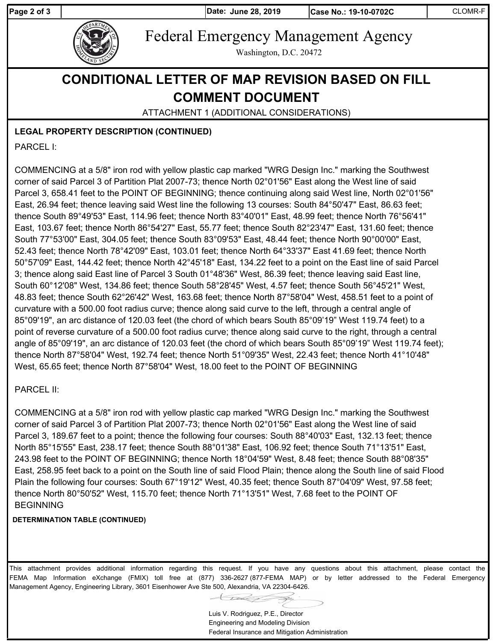**Page 2 of 3 June 28, 2019**

**Date: Case No.: 19-10-0702C** CLOMR-F



Federal Emergency Management Agency

Washington, D.C. 20472

# **CONDITIONAL LETTER OF MAP REVISION BASED ON FILL COMMENT DOCUMENT**

ATTACHMENT 1 (ADDITIONAL CONSIDERATIONS)

**LEGAL PROPERTY DESCRIPTION (CONTINUED)**

PARCEL I:

COMMENCING at a 5/8" iron rod with yellow plastic cap marked "WRG Design Inc." marking the Southwest corner of said Parcel 3 of Partition Plat 2007-73; thence North 02°01'56" East along the West line of said Parcel 3, 658.41 feet to the POINT OF BEGINNING; thence continuing along said West line, North 02°01'56" East, 26.94 feet; thence leaving said West line the following 13 courses: South 84°50'47" East, 86.63 feet; thence South 89°49'53" East, 114.96 feet; thence North 83°40'01" East, 48.99 feet; thence North 76°56'41" East, 103.67 feet; thence North 86°54'27" East, 55.77 feet; thence South 82°23'47" East, 131.60 feet; thence South 77°53'00" East, 304.05 feet; thence South 83°09'53" East, 48.44 feet; thence North 90°00'00" East, 52.43 feet; thence North 78°42'09" East, 103.01 feet; thence North 64°33'37" East 41.69 feet; thence North 50°57'09" East, 144.42 feet; thence North 42°45'18" East, 134.22 feet to a point on the East line of said Parcel 3; thence along said East line of Parcel 3 South 01°48'36" West, 86.39 feet; thence leaving said East line, South 60°12'08" West, 134.86 feet; thence South 58°28'45" West, 4.57 feet; thence South 56°45'21" West, 48.83 feet; thence South 62°26'42" West, 163.68 feet; thence North 87°58'04" West, 458.51 feet to a point of curvature with a 500.00 foot radius curve; thence along said curve to the left, through a central angle of 85°09'19", an arc distance of 120.03 feet (the chord of which bears South 85°09'19" West 119.74 feet) to a point of reverse curvature of a 500.00 foot radius curve; thence along said curve to the right, through a central angle of 85°09'19", an arc distance of 120.03 feet (the chord of which bears South 85°09'19" West 119.74 feet); thence North 87°58'04" West, 192.74 feet; thence North 51°09'35" West, 22.43 feet; thence North 41°10'48" West, 65.65 feet; thence North 87°58'04" West, 18.00 feet to the POINT OF BEGINNING

### PARCEL II:

COMMENCING at a 5/8" iron rod with yellow plastic cap marked "WRG Design Inc." marking the Southwest corner of said Parcel 3 of Partition Plat 2007-73; thence North 02°01'56" East along the West line of said Parcel 3, 189.67 feet to a point; thence the following four courses: South 88°40'03" East, 132.13 feet; thence North 85°15'55" East, 238.17 feet; thence South 88°01'38" East, 106.92 feet; thence South 71°13'51" East, 243.98 feet to the POINT OF BEGINNING; thence North 18°04'59" West, 8.48 feet; thence South 88°08'35" East, 258.95 feet back to a point on the South line of said Flood Plain; thence along the South line of said Flood Plain the following four courses: South 67°19'12" West, 40.35 feet; thence South 87°04'09" West, 97.58 feet; thence North 80°50'52" West, 115.70 feet; thence North 71°13'51" West, 7.68 feet to the POINT OF **BEGINNING** 

#### **DETERMINATION TABLE (CONTINUED)**

This attachment provides additional information regarding this request. If you have any questions about this attachment, please contact the FEMA Map Information eXchange (FMIX) toll free at (877) 336-2627 (877-FEMA MAP) or by letter addressed to the Federal Emergency Management Agency, Engineering Library, 3601 Eisenhower Ave Ste 500, Alexandria, VA 22304-6426.

Luis V. Rodriguez, P.E., Director Engineering and Modeling Division Federal Insurance and Mitigation Administration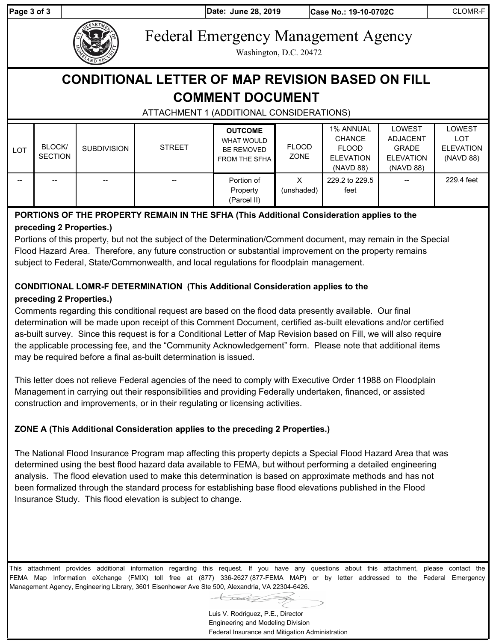**Page 3 of 3 June 28, 2019**

**Date: Case No.: 19-10-0702C** CLOMR-F



Federal Emergency Management Agency

Washington, D.C. 20472

# **CONDITIONAL LETTER OF MAP REVISION BASED ON FILL COMMENT DOCUMENT**

# ATTACHMENT 1 (ADDITIONAL CONSIDERATIONS)

| <b>LOT</b> | <b>BLOCK</b><br><b>SECTION</b> | <b>SUBDIVISION</b> | <b>STREET</b> | <b>OUTCOME</b><br><b>WHAT WOULD</b><br><b>BE REMOVED</b><br><b>FROM THE SFHA</b> | <b>FLOOD</b><br>ZONE | <b>1% ANNUAL</b><br><b>CHANCE</b><br><b>FLOOD</b><br><b>ELEVATION</b> | <b>LOWEST</b><br><b>ADJACENT</b><br><b>GRADE</b><br><b>ELEVATION</b> | LOWEST<br>LOT<br><b>ELEVATION</b><br>(NAVD 88) |
|------------|--------------------------------|--------------------|---------------|----------------------------------------------------------------------------------|----------------------|-----------------------------------------------------------------------|----------------------------------------------------------------------|------------------------------------------------|
|            |                                |                    |               |                                                                                  |                      | (NAVD 88)                                                             | (NAVD 88)                                                            |                                                |
| $- -$      |                                | $- -$              | $- -$         | Portion of<br>Property<br>(Parcel II)                                            | X<br>(unshaded)      | 229.2 to 229.5<br>feet                                                | $- -$                                                                | 229.4 feet                                     |

## **PORTIONS OF THE PROPERTY REMAIN IN THE SFHA (This Additional Consideration applies to the preceding 2 Properties.)**

Portions of this property, but not the subject of the Determination/Comment document, may remain in the Special Flood Hazard Area. Therefore, any future construction or substantial improvement on the property remains subject to Federal, State/Commonwealth, and local regulations for floodplain management.

### **CONDITIONAL LOMR-F DETERMINATION (This Additional Consideration applies to the preceding 2 Properties.)**

Comments regarding this conditional request are based on the flood data presently available. Our final determination will be made upon receipt of this Comment Document, certified as-built elevations and/or certified as-built survey. Since this request is for a Conditional Letter of Map Revision based on Fill, we will also require the applicable processing fee, and the "Community Acknowledgement" form. Please note that additional items may be required before a final as-built determination is issued.

This letter does not relieve Federal agencies of the need to comply with Executive Order 11988 on Floodplain Management in carrying out their responsibilities and providing Federally undertaken, financed, or assisted construction and improvements, or in their regulating or licensing activities.

## **ZONE A (This Additional Consideration applies to the preceding 2 Properties.)**

The National Flood Insurance Program map affecting this property depicts a Special Flood Hazard Area that was determined using the best flood hazard data available to FEMA, but without performing a detailed engineering analysis. The flood elevation used to make this determination is based on approximate methods and has not been formalized through the standard process for establishing base flood elevations published in the Flood Insurance Study. This flood elevation is subject to change.

This attachment provides additional information regarding this request. If you have any questions about this attachment, please contact the FEMA Map Information eXchange (FMIX) toll free at (877) 336-2627 (877-FEMA MAP) or by letter addressed to the Federal Emergency Management Agency, Engineering Library, 3601 Eisenhower Ave Ste 500, Alexandria, VA 22304-6426.

Luis V. Rodriguez, P.E., Director Engineering and Modeling Division Federal Insurance and Mitigation Administration